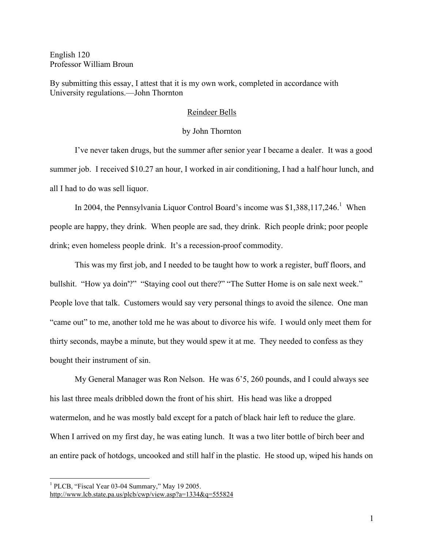English 120 Professor William Broun

By submitting this essay, I attest that it is my own work, completed in accordance with University regulations.—John Thornton

## Reindeer Bells

## by John Thornton

I've never taken drugs, but the summer after senior year I became a dealer. It was a good summer job. I received \$10.27 an hour, I worked in air conditioning, I had a half hour lunch, and all I had to do was sell liquor.

In 2004, the Pennsylvania Liquor Control Board's income was  $$1,388,117,246$ .<sup>1</sup> When people are happy, they drink. When people are sad, they drink. Rich people drink; poor people drink; even homeless people drink. It's a recession-proof commodity.

This was my first job, and I needed to be taught how to work a register, buff floors, and bullshit. "How ya doin'?" "Staying cool out there?" "The Sutter Home is on sale next week." People love that talk. Customers would say very personal things to avoid the silence. One man "came out" to me, another told me he was about to divorce his wife. I would only meet them for thirty seconds, maybe a minute, but they would spew it at me. They needed to confess as they bought their instrument of sin.

My General Manager was Ron Nelson. He was 6'5, 260 pounds, and I could always see his last three meals dribbled down the front of his shirt. His head was like a dropped watermelon, and he was mostly bald except for a patch of black hair left to reduce the glare. When I arrived on my first day, he was eating lunch. It was a two liter bottle of birch beer and an entire pack of hotdogs, uncooked and still half in the plastic. He stood up, wiped his hands on

<sup>&</sup>lt;sup>1</sup> PLCB, "Fiscal Year 03-04 Summary," May 19 2005.

http://www.lcb.state.pa.us/plcb/cwp/view.asp?a=1334&q=555824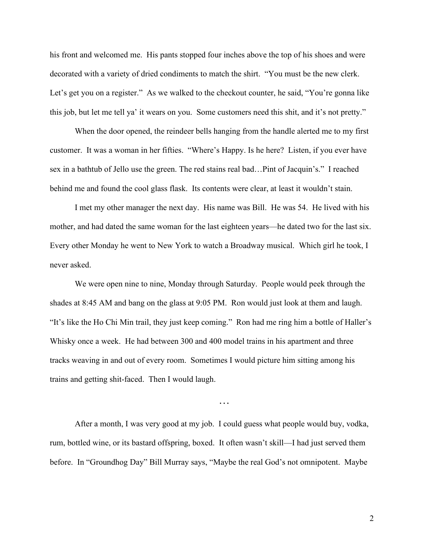his front and welcomed me. His pants stopped four inches above the top of his shoes and were decorated with a variety of dried condiments to match the shirt. "You must be the new clerk. Let's get you on a register." As we walked to the checkout counter, he said, "You're gonna like this job, but let me tell ya' it wears on you. Some customers need this shit, and it's not pretty."

When the door opened, the reindeer bells hanging from the handle alerted me to my first customer. It was a woman in her fifties. "Where's Happy. Is he here? Listen, if you ever have sex in a bathtub of Jello use the green. The red stains real bad…Pint of Jacquin's." I reached behind me and found the cool glass flask. Its contents were clear, at least it wouldn't stain.

I met my other manager the next day. His name was Bill. He was 54. He lived with his mother, and had dated the same woman for the last eighteen years—he dated two for the last six. Every other Monday he went to New York to watch a Broadway musical. Which girl he took, I never asked.

We were open nine to nine, Monday through Saturday. People would peek through the shades at 8:45 AM and bang on the glass at 9:05 PM. Ron would just look at them and laugh. "It's like the Ho Chi Min trail, they just keep coming." Ron had me ring him a bottle of Haller's Whisky once a week. He had between 300 and 400 model trains in his apartment and three tracks weaving in and out of every room. Sometimes I would picture him sitting among his trains and getting shit-faced. Then I would laugh.

…

After a month, I was very good at my job. I could guess what people would buy, vodka, rum, bottled wine, or its bastard offspring, boxed. It often wasn't skill—I had just served them before. In "Groundhog Day" Bill Murray says, "Maybe the real God's not omnipotent. Maybe

2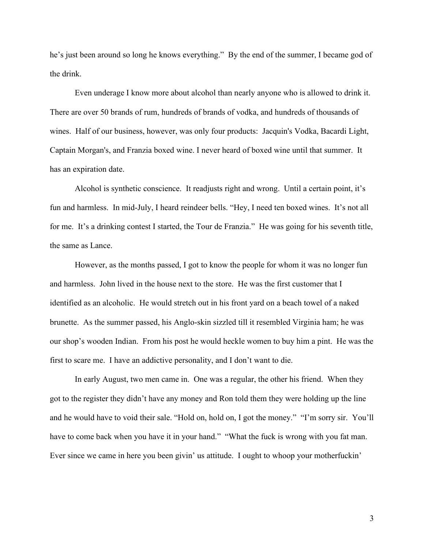he's just been around so long he knows everything." By the end of the summer, I became god of the drink.

Even underage I know more about alcohol than nearly anyone who is allowed to drink it. There are over 50 brands of rum, hundreds of brands of vodka, and hundreds of thousands of wines. Half of our business, however, was only four products: Jacquin's Vodka, Bacardi Light, Captain Morgan's, and Franzia boxed wine. I never heard of boxed wine until that summer. It has an expiration date.

Alcohol is synthetic conscience. It readjusts right and wrong. Until a certain point, it's fun and harmless. In mid-July, I heard reindeer bells. "Hey, I need ten boxed wines. It's not all for me. It's a drinking contest I started, the Tour de Franzia." He was going for his seventh title, the same as Lance.

However, as the months passed, I got to know the people for whom it was no longer fun and harmless. John lived in the house next to the store. He was the first customer that I identified as an alcoholic. He would stretch out in his front yard on a beach towel of a naked brunette. As the summer passed, his Anglo-skin sizzled till it resembled Virginia ham; he was our shop's wooden Indian. From his post he would heckle women to buy him a pint. He was the first to scare me. I have an addictive personality, and I don't want to die.

In early August, two men came in. One was a regular, the other his friend. When they got to the register they didn't have any money and Ron told them they were holding up the line and he would have to void their sale. "Hold on, hold on, I got the money." "I'm sorry sir. You'll have to come back when you have it in your hand." "What the fuck is wrong with you fat man. Ever since we came in here you been givin' us attitude. I ought to whoop your motherfuckin'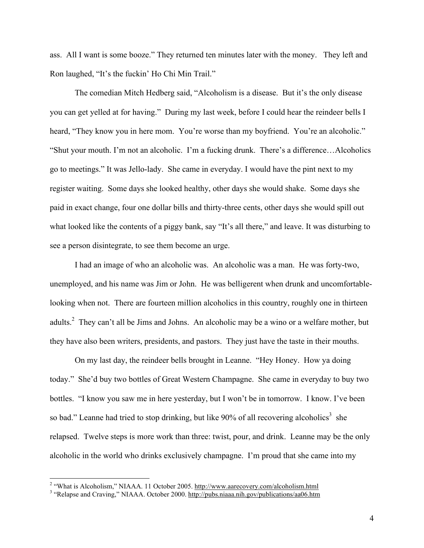ass. All I want is some booze." They returned ten minutes later with the money. They left and Ron laughed, "It's the fuckin' Ho Chi Min Trail."

The comedian Mitch Hedberg said, "Alcoholism is a disease. But it's the only disease you can get yelled at for having." During my last week, before I could hear the reindeer bells I heard, "They know you in here mom. You're worse than my boyfriend. You're an alcoholic." "Shut your mouth. I'm not an alcoholic. I'm a fucking drunk. There's a difference…Alcoholics go to meetings." It was Jello-lady. She came in everyday. I would have the pint next to my register waiting. Some days she looked healthy, other days she would shake. Some days she paid in exact change, four one dollar bills and thirty-three cents, other days she would spill out what looked like the contents of a piggy bank, say "It's all there," and leave. It was disturbing to see a person disintegrate, to see them become an urge.

I had an image of who an alcoholic was. An alcoholic was a man. He was forty-two, unemployed, and his name was Jim or John. He was belligerent when drunk and uncomfortablelooking when not. There are fourteen million alcoholics in this country, roughly one in thirteen adults.<sup>2</sup> They can't all be Jims and Johns. An alcoholic may be a wino or a welfare mother, but they have also been writers, presidents, and pastors. They just have the taste in their mouths.

On my last day, the reindeer bells brought in Leanne. "Hey Honey. How ya doing today." She'd buy two bottles of Great Western Champagne. She came in everyday to buy two bottles. "I know you saw me in here yesterday, but I won't be in tomorrow. I know. I've been so bad." Leanne had tried to stop drinking, but like 90% of all recovering alcoholics<sup>3</sup> she relapsed. Twelve steps is more work than three: twist, pour, and drink. Leanne may be the only alcoholic in the world who drinks exclusively champagne. I'm proud that she came into my

<sup>&</sup>lt;sup>2</sup> "What is Alcoholism," NIAAA. 11 October 2005. http://www.aarecovery.com/alcoholism.html  $\frac{3}{4}$  "Relapse and Craving," NIAAA. October 2000. http://pubs.niaaa.nih.gov/publications/aa06.htm